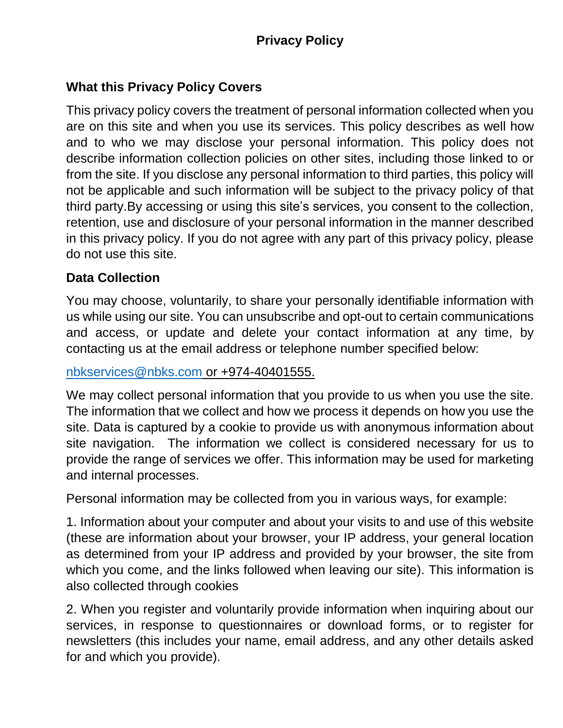# **What this Privacy Policy Covers**

This privacy policy covers the treatment of personal information collected when you are on this site and when you use its services. This policy describes as well how and to who we may disclose your personal information. This policy does not describe information collection policies on other sites, including those linked to or from the site. If you disclose any personal information to third parties, this policy will not be applicable and such information will be subject to the privacy policy of that third party.By accessing or using this site's services, you consent to the collection, retention, use and disclosure of your personal information in the manner described in this privacy policy. If you do not agree with any part of this privacy policy, please do not use this site.

## **Data Collection**

You may choose, voluntarily, to share your personally identifiable information with us while using our site. You can unsubscribe and opt-out to certain communications and access, or update and delete your contact information at any time, by contacting us at the email address or telephone number specified below:

[nbkservices@nbks.com](mailto:nbkservices@nbks.com) or +974-40401555.

We may collect personal information that you provide to us when you use the site. The information that we collect and how we process it depends on how you use the site. Data is captured by a cookie to provide us with anonymous information about site navigation. The information we collect is considered necessary for us to provide the range of services we offer. This information may be used for marketing and internal processes.

Personal information may be collected from you in various ways, for example:

1. Information about your computer and about your visits to and use of this website (these are information about your browser, your IP address, your general location as determined from your IP address and provided by your browser, the site from which you come, and the links followed when leaving our site). This information is also collected through cookies

2. When you register and voluntarily provide information when inquiring about our services, in response to questionnaires or download forms, or to register for newsletters (this includes your name, email address, and any other details asked for and which you provide).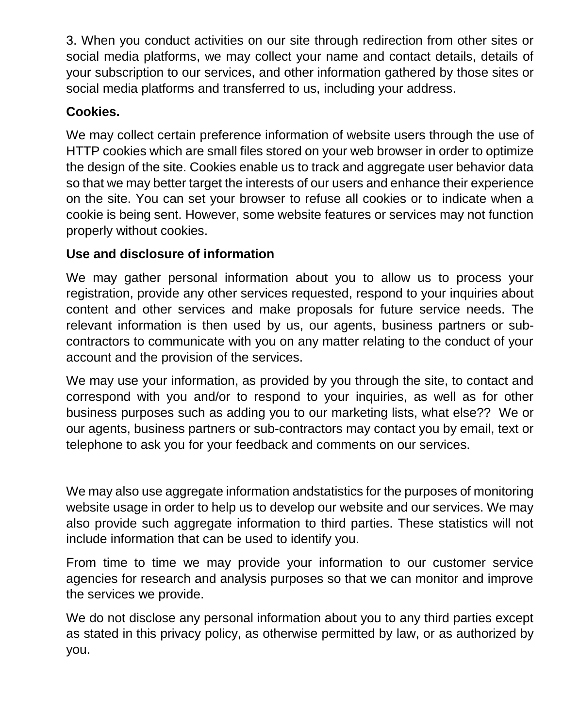3. When you conduct activities on our site through redirection from other sites or social media platforms, we may collect your name and contact details, details of your subscription to our services, and other information gathered by those sites or social media platforms and transferred to us, including your address.

## **Cookies.**

We may collect certain preference information of website users through the use of HTTP cookies which are small files stored on your web browser in order to optimize the design of the site. Cookies enable us to track and aggregate user behavior data so that we may better target the interests of our users and enhance their experience on the site. You can set your browser to refuse all cookies or to indicate when a cookie is being sent. However, some website features or services may not function properly without cookies.

# **Use and disclosure of information**

We may gather personal information about you to allow us to process your registration, provide any other services requested, respond to your inquiries about content and other services and make proposals for future service needs. The relevant information is then used by us, our agents, business partners or subcontractors to communicate with you on any matter relating to the conduct of your account and the provision of the services.

We may use your information, as provided by you through the site, to contact and correspond with you and/or to respond to your inquiries, as well as for other business purposes such as adding you to our marketing lists, what else?? We or our agents, business partners or sub-contractors may contact you by email, text or telephone to ask you for your feedback and comments on our services.

We may also use aggregate information andstatistics for the purposes of monitoring website usage in order to help us to develop our website and our services. We may also provide such aggregate information to third parties. These statistics will not include information that can be used to identify you.

From time to time we may provide your information to our customer service agencies for research and analysis purposes so that we can monitor and improve the services we provide.

We do not disclose any personal information about you to any third parties except as stated in this privacy policy, as otherwise permitted by law, or as authorized by you.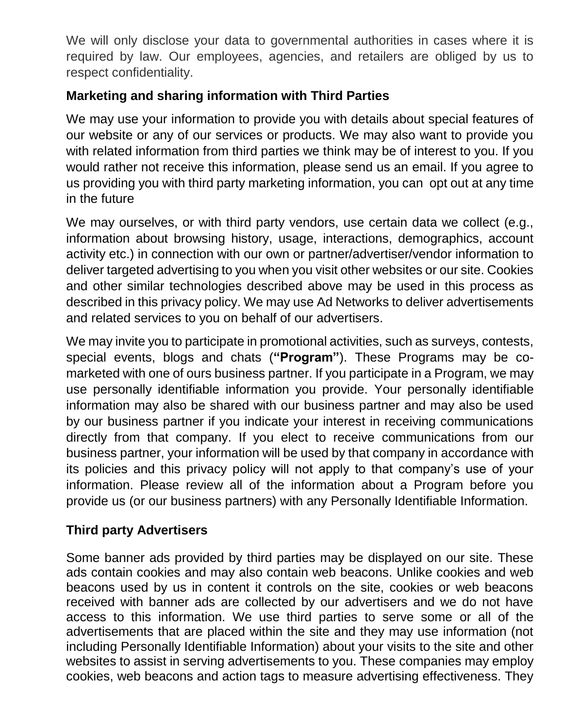We will only disclose your data to governmental authorities in cases where it is required by law. Our employees, agencies, and retailers are obliged by us to respect confidentiality.

## **Marketing and sharing information with Third Parties**

We may use your information to provide you with details about special features of our website or any of our services or products. We may also want to provide you with related information from third parties we think may be of interest to you. If you would rather not receive this information, please send us an email. If you agree to us providing you with third party marketing information, you can opt out at any time in the future

We may ourselves, or with third party vendors, use certain data we collect (e.g., information about browsing history, usage, interactions, demographics, account activity etc.) in connection with our own or partner/advertiser/vendor information to deliver targeted advertising to you when you visit other websites or our site. Cookies and other similar technologies described above may be used in this process as described in this privacy policy. We may use Ad Networks to deliver advertisements and related services to you on behalf of our advertisers.

We may invite you to participate in promotional activities, such as surveys, contests, special events, blogs and chats (**"Program"**). These Programs may be comarketed with one of ours business partner. If you participate in a Program, we may use personally identifiable information you provide. Your personally identifiable information may also be shared with our business partner and may also be used by our business partner if you indicate your interest in receiving communications directly from that company. If you elect to receive communications from our business partner, your information will be used by that company in accordance with its policies and this privacy policy will not apply to that company's use of your information. Please review all of the information about a Program before you provide us (or our business partners) with any Personally Identifiable Information.

## **Third party Advertisers**

Some banner ads provided by third parties may be displayed on our site. These ads contain cookies and may also contain web beacons. Unlike cookies and web beacons used by us in content it controls on the site, cookies or web beacons received with banner ads are collected by our advertisers and we do not have access to this information. We use third parties to serve some or all of the advertisements that are placed within the site and they may use information (not including Personally Identifiable Information) about your visits to the site and other websites to assist in serving advertisements to you. These companies may employ cookies, web beacons and action tags to measure advertising effectiveness. They